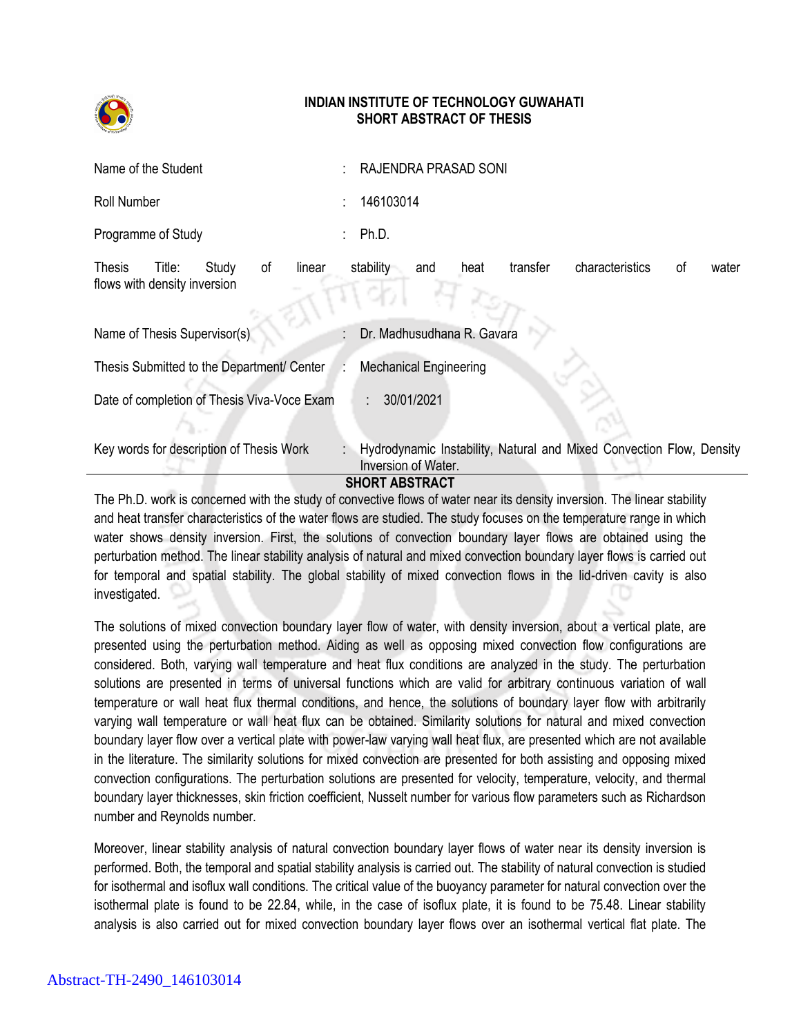

## **INDIAN INSTITUTE OF TECHNOLOGY GUWAHATI SHORT ABSTRACT OF THESIS**

| Name of the Student                                                              | RAJENDRA PRASAD SONI                                                                        |
|----------------------------------------------------------------------------------|---------------------------------------------------------------------------------------------|
| <b>Roll Number</b>                                                               | 146103014                                                                                   |
| Programme of Study                                                               | Ph.D.                                                                                       |
| Study<br>Title:<br>οf<br>linear<br><b>Thesis</b><br>flows with density inversion | characteristics<br>transfer<br>stability<br>heat<br>οf<br>water<br>and                      |
| Name of Thesis Supervisor(s)                                                     | Dr. Madhusudhana R. Gavara                                                                  |
| Thesis Submitted to the Department/ Center                                       | <b>Mechanical Engineering</b>                                                               |
| Date of completion of Thesis Viva-Voce Exam                                      | 30/01/2021                                                                                  |
| Key words for description of Thesis Work                                         | Hydrodynamic Instability, Natural and Mixed Convection Flow, Density<br>Inversion of Water. |

## **SHORT ABSTRACT**

The Ph.D. work is concerned with the study of convective flows of water near its density inversion. The linear stability and heat transfer characteristics of the water flows are studied. The study focuses on the temperature range in which water shows density inversion. First, the solutions of convection boundary layer flows are obtained using the perturbation method. The linear stability analysis of natural and mixed convection boundary layer flows is carried out for temporal and spatial stability. The global stability of mixed convection flows in the lid-driven cavity is also investigated.

The solutions of mixed convection boundary layer flow of water, with density inversion, about a vertical plate, are presented using the perturbation method. Aiding as well as opposing mixed convection flow configurations are considered. Both, varying wall temperature and heat flux conditions are analyzed in the study. The perturbation solutions are presented in terms of universal functions which are valid for arbitrary continuous variation of wall temperature or wall heat flux thermal conditions, and hence, the solutions of boundary layer flow with arbitrarily varying wall temperature or wall heat flux can be obtained. Similarity solutions for natural and mixed convection boundary layer flow over a vertical plate with power-law varying wall heat flux, are presented which are not available in the literature. The similarity solutions for mixed convection are presented for both assisting and opposing mixed convection configurations. The perturbation solutions are presented for velocity, temperature, velocity, and thermal boundary layer thicknesses, skin friction coefficient, Nusselt number for various flow parameters such as Richardson number and Reynolds number.

Moreover, linear stability analysis of natural convection boundary layer flows of water near its density inversion is performed. Both, the temporal and spatial stability analysis is carried out. The stability of natural convection is studied for isothermal and isoflux wall conditions. The critical value of the buoyancy parameter for natural convection over the isothermal plate is found to be 22.84, while, in the case of isoflux plate, it is found to be 75.48. Linear stability analysis is also carried out for mixed convection boundary layer flows over an isothermal vertical flat plate. The